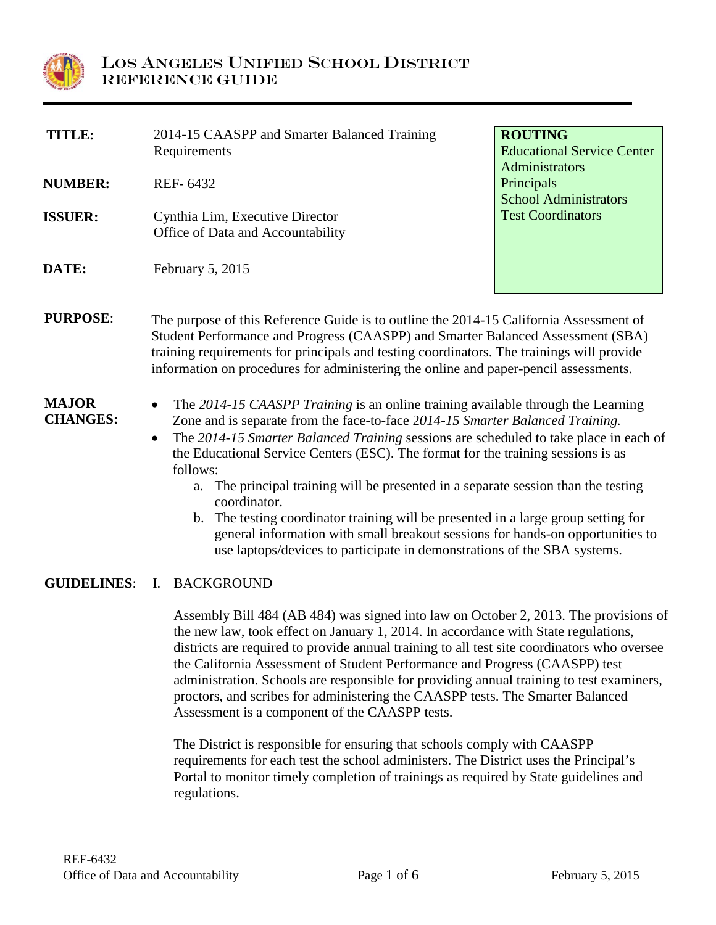

| TITLE:                          | 2014-15 CAASPP and Smarter Balanced Training<br>Requirements                                                                                                                                                                                                                                                                                                                                                                                                                                                                                                                                                                                                                                                                            | <b>ROUTING</b><br><b>Educational Service Center</b><br>Administrators |  |
|---------------------------------|-----------------------------------------------------------------------------------------------------------------------------------------------------------------------------------------------------------------------------------------------------------------------------------------------------------------------------------------------------------------------------------------------------------------------------------------------------------------------------------------------------------------------------------------------------------------------------------------------------------------------------------------------------------------------------------------------------------------------------------------|-----------------------------------------------------------------------|--|
| <b>NUMBER:</b>                  | REF-6432                                                                                                                                                                                                                                                                                                                                                                                                                                                                                                                                                                                                                                                                                                                                | Principals<br><b>School Administrators</b>                            |  |
| <b>ISSUER:</b>                  | Cynthia Lim, Executive Director<br>Office of Data and Accountability                                                                                                                                                                                                                                                                                                                                                                                                                                                                                                                                                                                                                                                                    | <b>Test Coordinators</b>                                              |  |
| DATE:                           | February 5, 2015                                                                                                                                                                                                                                                                                                                                                                                                                                                                                                                                                                                                                                                                                                                        |                                                                       |  |
| <b>PURPOSE:</b>                 | The purpose of this Reference Guide is to outline the 2014-15 California Assessment of<br>Student Performance and Progress (CAASPP) and Smarter Balanced Assessment (SBA)<br>training requirements for principals and testing coordinators. The trainings will provide<br>information on procedures for administering the online and paper-pencil assessments.                                                                                                                                                                                                                                                                                                                                                                          |                                                                       |  |
| <b>MAJOR</b><br><b>CHANGES:</b> | The 2014-15 CAASPP Training is an online training available through the Learning<br>Zone and is separate from the face-to-face 2014-15 Smarter Balanced Training.<br>The 2014-15 Smarter Balanced Training sessions are scheduled to take place in each of<br>the Educational Service Centers (ESC). The format for the training sessions is as<br>follows:<br>The principal training will be presented in a separate session than the testing<br>a.<br>coordinator.<br>The testing coordinator training will be presented in a large group setting for<br>$\mathbf{b}$ .<br>general information with small breakout sessions for hands-on opportunities to<br>use laptops/devices to participate in demonstrations of the SBA systems. |                                                                       |  |
| <b>GUIDELINES:</b>              | I. BACKGROUND<br>Assembly Bill 484 (AB 484) was signed into law on October 2, 2013. The provisions of<br>the new law, took effect on January 1, 2014. In accordance with State regulations,<br>districts are required to provide annual training to all test site coordinators who oversee<br>the California Assessment of Student Performance and Progress (CAASPP) test<br>administration. Schools are responsible for providing annual training to test examiners,<br>proctors, and scribes for administering the CAASPP tests. The Smarter Balanced                                                                                                                                                                                 |                                                                       |  |

Assessment is a component of the CAASPP tests.

The District is responsible for ensuring that schools comply with CAASPP requirements for each test the school administers. The District uses the Principal's Portal to monitor timely completion of trainings as required by State guidelines and regulations.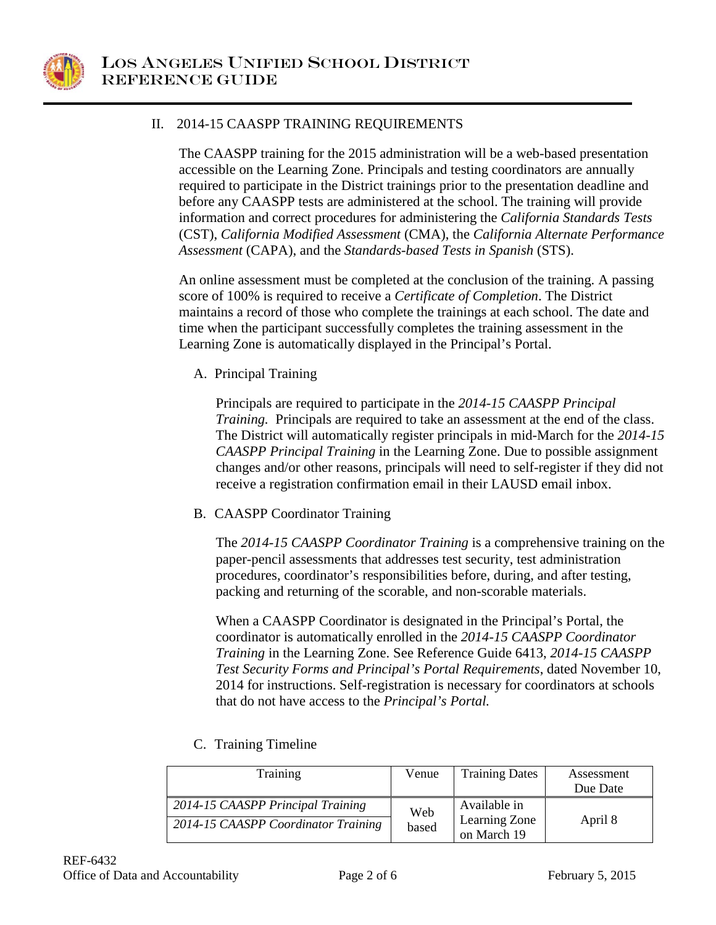

## II. 2014-15 CAASPP TRAINING REQUIREMENTS

The CAASPP training for the 2015 administration will be a web-based presentation accessible on the Learning Zone. Principals and testing coordinators are annually required to participate in the District trainings prior to the presentation deadline and before any CAASPP tests are administered at the school. The training will provide information and correct procedures for administering the *California Standards Tests*  (CST), *California Modified Assessment* (CMA), the *California Alternate Performance Assessment* (CAPA), and the *Standards-based Tests in Spanish* (STS).

An online assessment must be completed at the conclusion of the training. A passing score of 100% is required to receive a *Certificate of Completion*. The District maintains a record of those who complete the trainings at each school. The date and time when the participant successfully completes the training assessment in the Learning Zone is automatically displayed in the Principal's Portal.

A. Principal Training

Principals are required to participate in the *2014-15 CAASPP Principal Training.* Principals are required to take an assessment at the end of the class. The District will automatically register principals in mid-March for the *2014-15 CAASPP Principal Training* in the Learning Zone. Due to possible assignment changes and/or other reasons, principals will need to self-register if they did not receive a registration confirmation email in their LAUSD email inbox.

B. CAASPP Coordinator Training

The *2014-15 CAASPP Coordinator Training* is a comprehensive training on the paper-pencil assessments that addresses test security, test administration procedures, coordinator's responsibilities before, during, and after testing, packing and returning of the scorable, and non-scorable materials.

When a CAASPP Coordinator is designated in the Principal's Portal, the coordinator is automatically enrolled in the *2014-15 CAASPP Coordinator Training* in the Learning Zone. See Reference Guide 6413, *2014-15 CAASPP Test Security Forms and Principal's Portal Requirements*, dated November 10, 2014 for instructions. Self-registration is necessary for coordinators at schools that do not have access to the *Principal's Portal.*

| Training                            | Venue | <b>Training Dates</b>        | Assessment<br>Due Date |
|-------------------------------------|-------|------------------------------|------------------------|
| 2014-15 CAASPP Principal Training   | Web   | Available in                 |                        |
| 2014-15 CAASPP Coordinator Training | based | Learning Zone<br>on March 19 | April 8                |

C. Training Timeline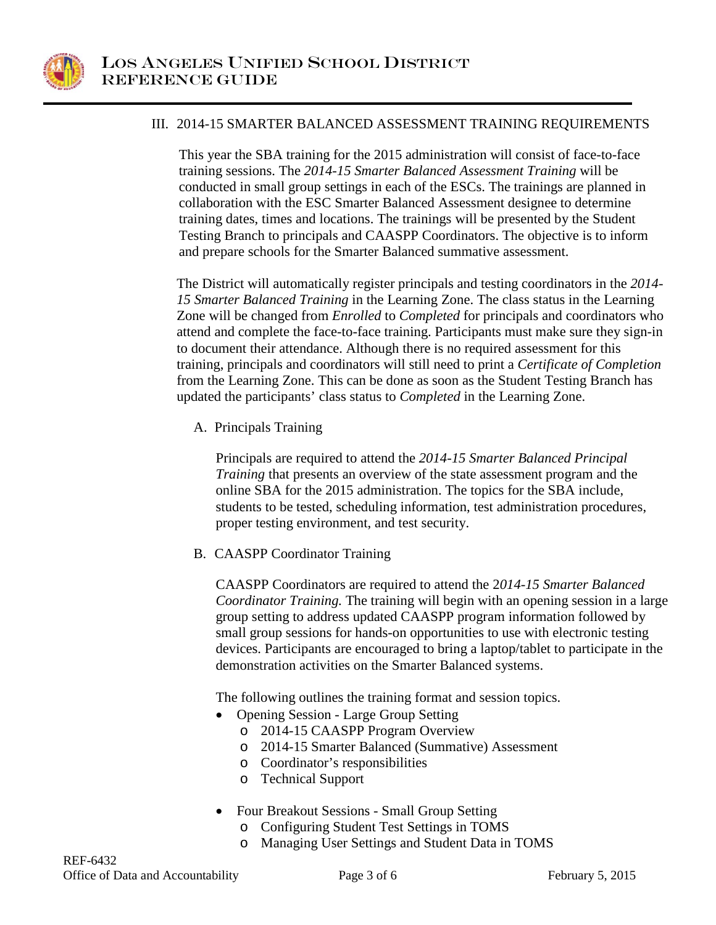

### III. 2014-15 SMARTER BALANCED ASSESSMENT TRAINING REQUIREMENTS

This year the SBA training for the 2015 administration will consist of face-to-face training sessions. The *2014-15 Smarter Balanced Assessment Training* will be conducted in small group settings in each of the ESCs. The trainings are planned in collaboration with the ESC Smarter Balanced Assessment designee to determine training dates, times and locations. The trainings will be presented by the Student Testing Branch to principals and CAASPP Coordinators. The objective is to inform and prepare schools for the Smarter Balanced summative assessment.

The District will automatically register principals and testing coordinators in the *2014- 15 Smarter Balanced Training* in the Learning Zone. The class status in the Learning Zone will be changed from *Enrolled* to *Completed* for principals and coordinators who attend and complete the face-to-face training. Participants must make sure they sign-in to document their attendance. Although there is no required assessment for this training, principals and coordinators will still need to print a *Certificate of Completion* from the Learning Zone. This can be done as soon as the Student Testing Branch has updated the participants' class status to *Completed* in the Learning Zone.

A. Principals Training

Principals are required to attend the *2014-15 Smarter Balanced Principal Training* that presents an overview of the state assessment program and the online SBA for the 2015 administration. The topics for the SBA include, students to be tested, scheduling information, test administration procedures, proper testing environment, and test security.

B. CAASPP Coordinator Training

CAASPP Coordinators are required to attend the 2*014-15 Smarter Balanced Coordinator Training.* The training will begin with an opening session in a large group setting to address updated CAASPP program information followed by small group sessions for hands-on opportunities to use with electronic testing devices. Participants are encouraged to bring a laptop/tablet to participate in the demonstration activities on the Smarter Balanced systems.

The following outlines the training format and session topics.

- Opening Session Large Group Setting
	- o 2014-15 CAASPP Program Overview
	- o 2014-15 Smarter Balanced (Summative) Assessment
	- o Coordinator's responsibilities
	- o Technical Support
- Four Breakout Sessions Small Group Setting
	- o Configuring Student Test Settings in TOMS
	- o Managing User Settings and Student Data in TOMS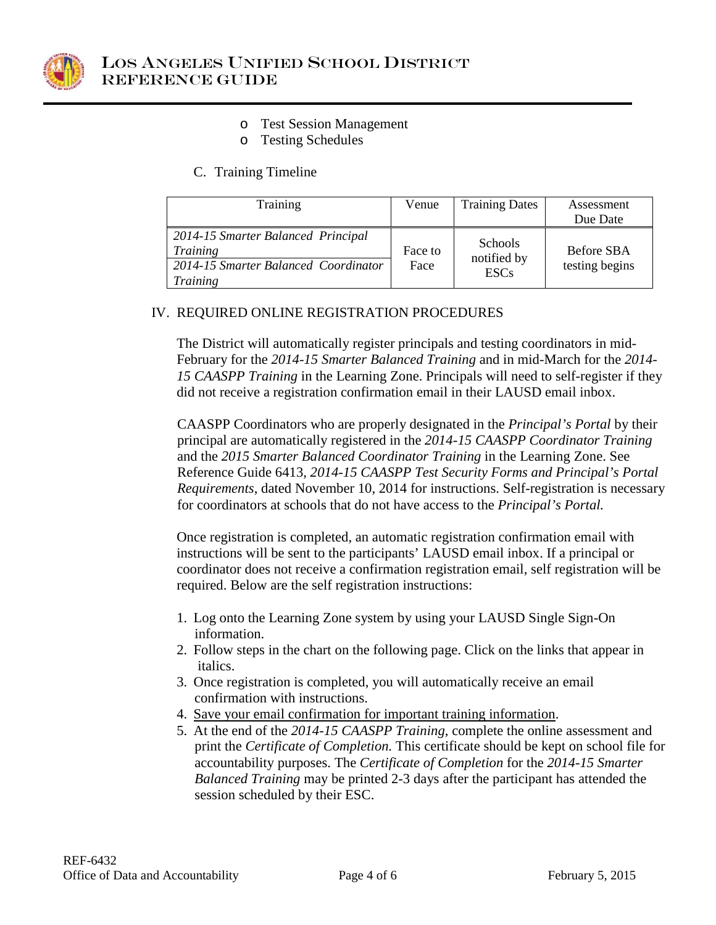

- o Test Session Management
- o Testing Schedules

## C. Training Timeline

| Training                                                                                                         | Venue           | <b>Training Dates</b>                        | Assessment<br>Due Date       |
|------------------------------------------------------------------------------------------------------------------|-----------------|----------------------------------------------|------------------------------|
|                                                                                                                  |                 |                                              |                              |
| 2014-15 Smarter Balanced Principal<br><b>Training</b><br>2014-15 Smarter Balanced Coordinator<br><b>Training</b> | Face to<br>Face | <b>Schools</b><br>notified by<br><b>ESCs</b> | Before SBA<br>testing begins |

# IV. REQUIRED ONLINE REGISTRATION PROCEDURES

The District will automatically register principals and testing coordinators in mid-February for the *2014-15 Smarter Balanced Training* and in mid-March for the *2014- 15 CAASPP Training* in the Learning Zone. Principals will need to self-register if they did not receive a registration confirmation email in their LAUSD email inbox.

CAASPP Coordinators who are properly designated in the *Principal's Portal* by their principal are automatically registered in the *2014-15 CAASPP Coordinator Training* and the *2015 Smarter Balanced Coordinator Training* in the Learning Zone. See Reference Guide 6413, *2014-15 CAASPP Test Security Forms and Principal's Portal Requirements*, dated November 10, 2014 for instructions. Self-registration is necessary for coordinators at schools that do not have access to the *Principal's Portal.*

Once registration is completed, an automatic registration confirmation email with instructions will be sent to the participants' LAUSD email inbox. If a principal or coordinator does not receive a confirmation registration email, self registration will be required. Below are the self registration instructions:

- 1. Log onto the Learning Zone system by using your LAUSD Single Sign-On information.
- 2. Follow steps in the chart on the following page. Click on the links that appear in italics.
- 3. Once registration is completed, you will automatically receive an email confirmation with instructions.
- 4. Save your email confirmation for important training information.
- 5. At the end of the *2014-15 CAASPP Training*, complete the online assessment and print the *Certificate of Completion.* This certificate should be kept on school file for accountability purposes. The *Certificate of Completion* for the *2014-15 Smarter Balanced Training* may be printed 2-3 days after the participant has attended the session scheduled by their ESC.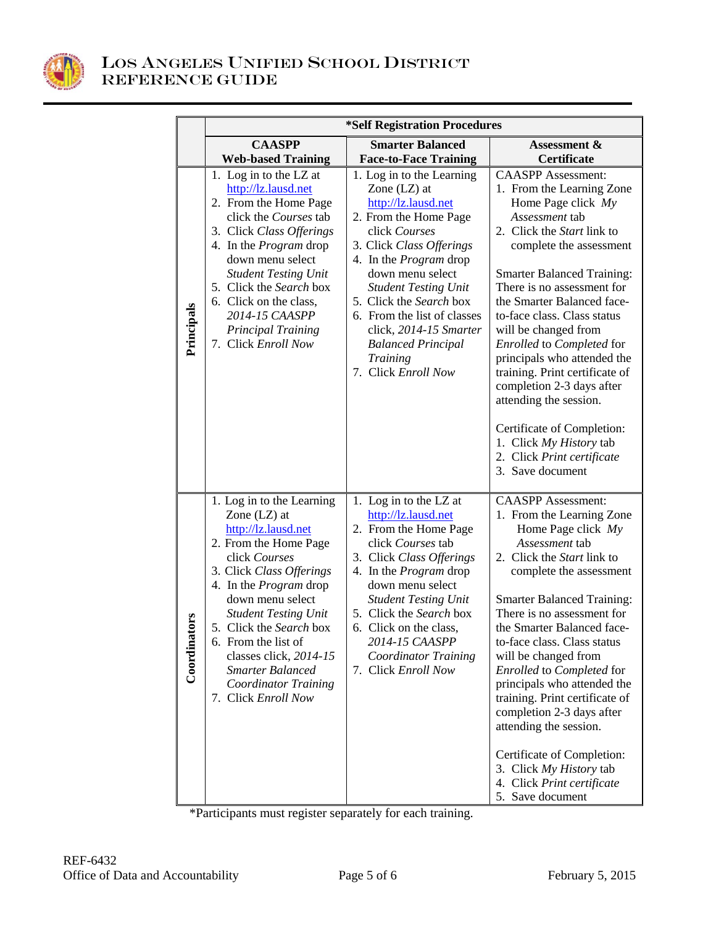

|                  | *Self Registration Procedures                                                                                                                                                                                                                                                                                                                                                             |                                                                                                                                                                                                                                                                                                                                                                                         |                                                                                                                                                                                                                                                                                                                                                                                                                                                                                                                                                                                                                                     |  |  |
|------------------|-------------------------------------------------------------------------------------------------------------------------------------------------------------------------------------------------------------------------------------------------------------------------------------------------------------------------------------------------------------------------------------------|-----------------------------------------------------------------------------------------------------------------------------------------------------------------------------------------------------------------------------------------------------------------------------------------------------------------------------------------------------------------------------------------|-------------------------------------------------------------------------------------------------------------------------------------------------------------------------------------------------------------------------------------------------------------------------------------------------------------------------------------------------------------------------------------------------------------------------------------------------------------------------------------------------------------------------------------------------------------------------------------------------------------------------------------|--|--|
|                  | <b>CAASPP</b>                                                                                                                                                                                                                                                                                                                                                                             | <b>Smarter Balanced</b>                                                                                                                                                                                                                                                                                                                                                                 | Assessment &                                                                                                                                                                                                                                                                                                                                                                                                                                                                                                                                                                                                                        |  |  |
|                  | <b>Web-based Training</b>                                                                                                                                                                                                                                                                                                                                                                 | <b>Face-to-Face Training</b>                                                                                                                                                                                                                                                                                                                                                            | <b>Certificate</b>                                                                                                                                                                                                                                                                                                                                                                                                                                                                                                                                                                                                                  |  |  |
| Principals       | 1. Log in to the LZ at<br>http://lz.lausd.net<br>2. From the Home Page<br>click the Courses tab<br>3. Click Class Offerings<br>4. In the <i>Program</i> drop<br>down menu select<br><b>Student Testing Unit</b><br>5. Click the Search box<br>6. Click on the class,<br>2014-15 CAASPP<br><b>Principal Training</b><br>7. Click Enroll Now                                                | 1. Log in to the Learning<br>Zone $(LZ)$ at<br>http://lz.lausd.net<br>2. From the Home Page<br>click Courses<br>3. Click Class Offerings<br>4. In the <i>Program</i> drop<br>down menu select<br><b>Student Testing Unit</b><br>5. Click the Search box<br>6. From the list of classes<br>click, 2014-15 Smarter<br><b>Balanced Principal</b><br><b>Training</b><br>7. Click Enroll Now | <b>CAASPP</b> Assessment:<br>1. From the Learning Zone<br>Home Page click $My$<br>Assessment tab<br>2. Click the <i>Start</i> link to<br>complete the assessment<br><b>Smarter Balanced Training:</b><br>There is no assessment for<br>the Smarter Balanced face-<br>to-face class. Class status<br>will be changed from<br>Enrolled to Completed for<br>principals who attended the<br>training. Print certificate of<br>completion 2-3 days after<br>attending the session.<br>Certificate of Completion:<br>1. Click My History tab                                                                                              |  |  |
| tors<br>Coordina | 1. Log in to the Learning<br>Zone $(LZ)$ at<br>http://lz.lausd.net<br>2. From the Home Page<br>click Courses<br>3. Click Class Offerings<br>4. In the <i>Program</i> drop<br>down menu select<br><b>Student Testing Unit</b><br>5. Click the Search box<br>6. From the list of<br>classes click, 2014-15<br><b>Smarter Balanced</b><br><b>Coordinator Training</b><br>7. Click Enroll Now | 1. Log in to the LZ at<br>http://lz.lausd.net<br>2. From the Home Page<br>click Courses tab<br>3. Click Class Offerings<br>4. In the <i>Program</i> drop<br>down menu select<br><b>Student Testing Unit</b><br>5. Click the Search box<br>6. Click on the class,<br>2014-15 CAASPP<br><b>Coordinator Training</b><br>7. Click Enroll Now                                                | 2. Click Print certificate<br>3. Save document<br><b>CAASPP</b> Assessment:<br>1. From the Learning Zone<br>Home Page click $My$<br>Assessment tab<br>2. Click the Start link to<br>complete the assessment<br><b>Smarter Balanced Training:</b><br>There is no assessment for<br>the Smarter Balanced face-<br>to-face class. Class status<br>will be changed from<br>Enrolled to Completed for<br>principals who attended the<br>training. Print certificate of<br>completion 2-3 days after<br>attending the session.<br>Certificate of Completion:<br>3. Click My History tab<br>4. Click Print certificate<br>5. Save document |  |  |

\*Participants must register separately for each training.